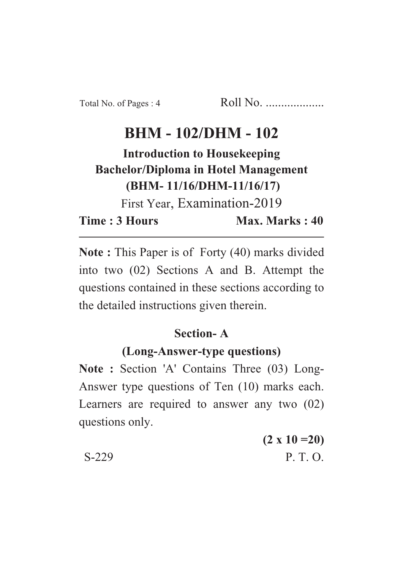# **BHM - 102/DHM - 102**

**Introduction to Housekeeping Bachelor/Diploma in Hotel Management (BHM- 11/16/DHM-11/16/17)**

First Year, Examination-2019

**Time : 3 Hours Max. Marks : 40** 

**Note :** This Paper is of Forty (40) marks divided into two (02) Sections A and B. Attempt the questions contained in these sections according to the detailed instructions given therein.

# **Section- A**

# **(Long-Answer-type questions)**

**Note :** Section 'A' Contains Three (03) Long-Answer type questions of Ten (10) marks each. Learners are required to answer any two (02) questions only.

**(2 x 10 =20)** S-229 P. T. O.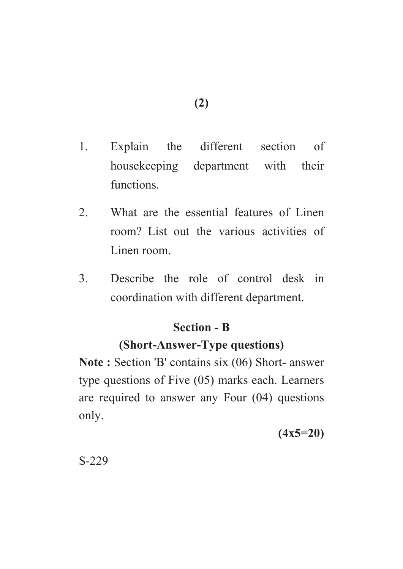- 1. Explain the different section of housekeeping department with their functions.
- 2. What are the essential features of Linen room? List out the various activities of Linen room.
- 3. Describe the role of control desk in coordination with different department.

### **Section - B**

### **(Short-Answer-Type questions)**

Note : Section 'B' contains six (06) Short- answer type questions of Five (05) marks each. Learners are required to answer any Four (04) questions only.

**(4x5=20)**

S-229